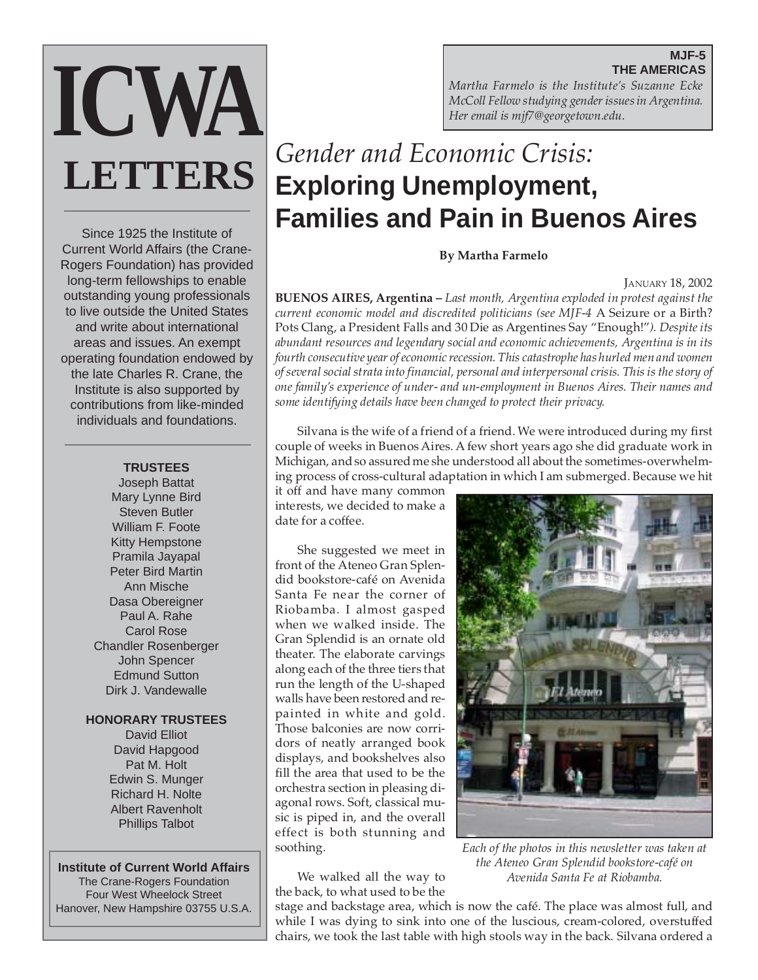## **MJF-5 THE AMERICAS**

*Martha Farmelo is the Institute's Suzanne Ecke McColl Fellow studying gender issues in Argentina. Her email is mjf7@georgetown.edu.*

# *Gender and Economic Crisis:* **Exploring Unemployment, Families and Pain in Buenos Aires**

**By Martha Farmelo**

JANUARY 18, 2002

**BUENOS AIRES, Argentina –** *Last month, Argentina exploded in protest against the current economic model and discredited politicians (see MJF-4* A Seizure or a Birth? Pots Clang, a President Falls and 30 Die as Argentines Say "Enough!"*). Despite its abundant resources and legendary social and economic achievements, Argentina is in its fourth consecutive year of economic recession. This catastrophe has hurled men and women of several social strata into financial, personal and interpersonal crisis. This is the story of one family's experience of under- and un-employment in Buenos Aires. Their names and some identifying details have been changed to protect their privacy.*

Silvana is the wife of a friend of a friend. We were introduced during my first couple of weeks in Buenos Aires. A few short years ago she did graduate work in Michigan, and so assured me she understood all about the sometimes-overwhelming process of cross-cultural adaptation in which I am submerged. Because we hit

it off and have many common interests, we decided to make a date for a coffee.

She suggested we meet in front of the Ateneo Gran Splendid bookstore-café on Avenida Santa Fe near the corner of Riobamba. I almost gasped when we walked inside. The Gran Splendid is an ornate old theater. The elaborate carvings along each of the three tiers that run the length of the U-shaped walls have been restored and repainted in white and gold. Those balconies are now corridors of neatly arranged book displays, and bookshelves also fill the area that used to be the orchestra section in pleasing diagonal rows. Soft, classical music is piped in, and the overall effect is both stunning and soothing.

We walked all the way to the back, to what used to be the *Each of the photos in this newsletter was taken at the Ateneo Gran Splendid bookstore-café on Avenida Santa Fe at Riobamba.*

stage and backstage area, which is now the café. The place was almost full, and while I was dying to sink into one of the luscious, cream-colored, overstuffed chairs, we took the last table with high stools way in the back. Silvana ordered a

#### **TRUSTEES**

Joseph Battat Mary Lynne Bird Steven Butler William F. Foote Kitty Hempstone Pramila Jayapal Peter Bird Martin Ann Mische Dasa Obereigner Paul A. Rahe Carol Rose Chandler Rosenberger John Spencer Edmund Sutton Dirk J. Vandewalle

### **HONORARY TRUSTEES**

David Elliot David Hapgood Pat M. Holt Edwin S. Munger Richard H. Nolte Albert Ravenholt Phillips Talbot

## **Institute of Current World Affairs**

The Crane-Rogers Foundation Four West Wheelock Street Hanover, New Hampshire 03755 U.S.A.





Current World Affairs (the Crane-Rogers Foundation) has provided long-term fellowships to enable outstanding young professionals to live outside the United States and write about international areas and issues. An exempt operating foundation endowed by the late Charles R. Crane, the Institute is also supported by contributions from like-minded individuals and foundations.

Since 1925 the Institute of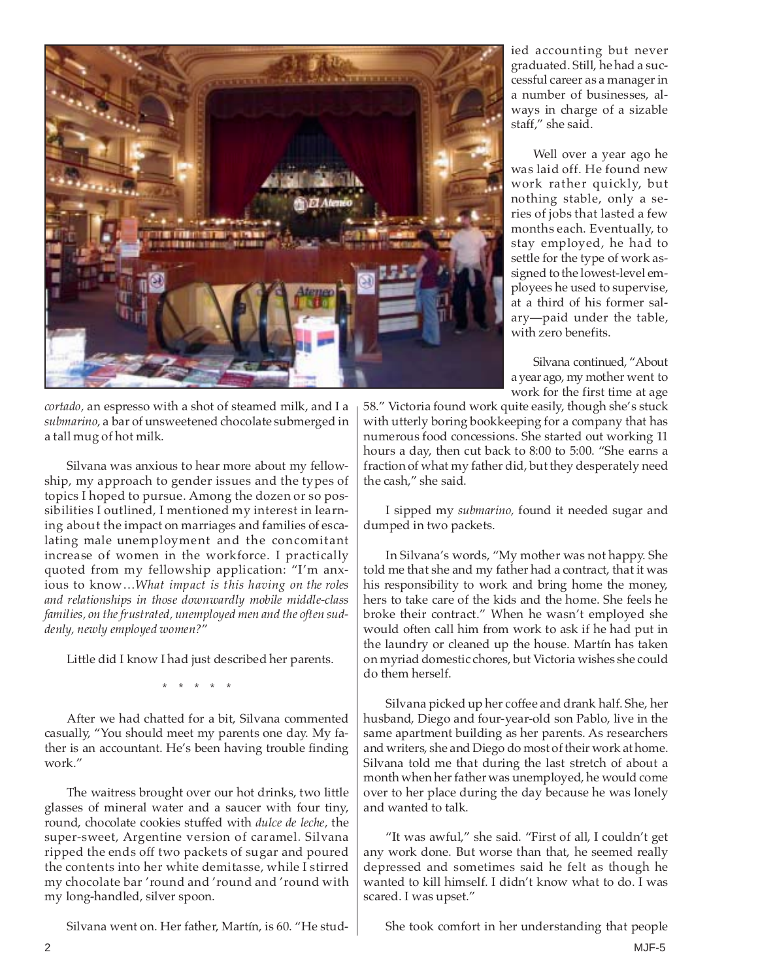

ied accounting but never graduated. Still, he had a successful career as a manager in a number of businesses, always in charge of a sizable staff," she said.

Well over a year ago he was laid off. He found new work rather quickly, but nothing stable, only a series of jobs that lasted a few months each. Eventually, to stay employed, he had to settle for the type of work assigned to the lowest-level employees he used to supervise, at a third of his former salary—paid under the table, with zero benefits.

Silvana continued, "About a year ago, my mother went to work for the first time at age

58." Victoria found work quite easily, though she's stuck with utterly boring bookkeeping for a company that has numerous food concessions. She started out working 11 hours a day, then cut back to 8:00 to 5:00. "She earns a fraction of what my father did, but they desperately need the cash," she said.

I sipped my *submarino,* found it needed sugar and dumped in two packets.

In Silvana's words, "My mother was not happy. She told me that she and my father had a contract, that it was his responsibility to work and bring home the money, hers to take care of the kids and the home. She feels he broke their contract." When he wasn't employed she would often call him from work to ask if he had put in the laundry or cleaned up the house. Martín has taken on myriad domestic chores, but Victoria wishes she could do them herself.

Silvana picked up her coffee and drank half. She, her husband, Diego and four-year-old son Pablo, live in the same apartment building as her parents. As researchers and writers, she and Diego do most of their work at home. Silvana told me that during the last stretch of about a month when her father was unemployed, he would come over to her place during the day because he was lonely and wanted to talk.

"It was awful," she said. "First of all, I couldn't get any work done. But worse than that, he seemed really depressed and sometimes said he felt as though he wanted to kill himself. I didn't know what to do. I was scared. I was upset."

She took comfort in her understanding that people

*cortado,* an espresso with a shot of steamed milk, and I a *submarino,* a bar of unsweetened chocolate submerged in a tall mug of hot milk.

Silvana was anxious to hear more about my fellowship, my approach to gender issues and the types of topics I hoped to pursue. Among the dozen or so possibilities I outlined, I mentioned my interest in learning about the impact on marriages and families of escalating male unemployment and the concomitant increase of women in the workforce. I practically quoted from my fellowship application: "I'm anxious to know…*What impact is this having on the roles and relationships in those downwardly mobile middle-class families, on the frustrated, unemployed men and the often suddenly, newly employed women?*"

Little did I know I had just described her parents.

\* \* \* \* \*

After we had chatted for a bit, Silvana commented casually, "You should meet my parents one day. My father is an accountant. He's been having trouble finding work."

The waitress brought over our hot drinks, two little glasses of mineral water and a saucer with four tiny, round, chocolate cookies stuffed with *dulce de leche,* the super-sweet, Argentine version of caramel*.* Silvana ripped the ends off two packets of sugar and poured the contents into her white demitasse, while I stirred my chocolate bar 'round and 'round and 'round with my long-handled, silver spoon.

Silvana went on. Her father, Martín, is 60. "He stud-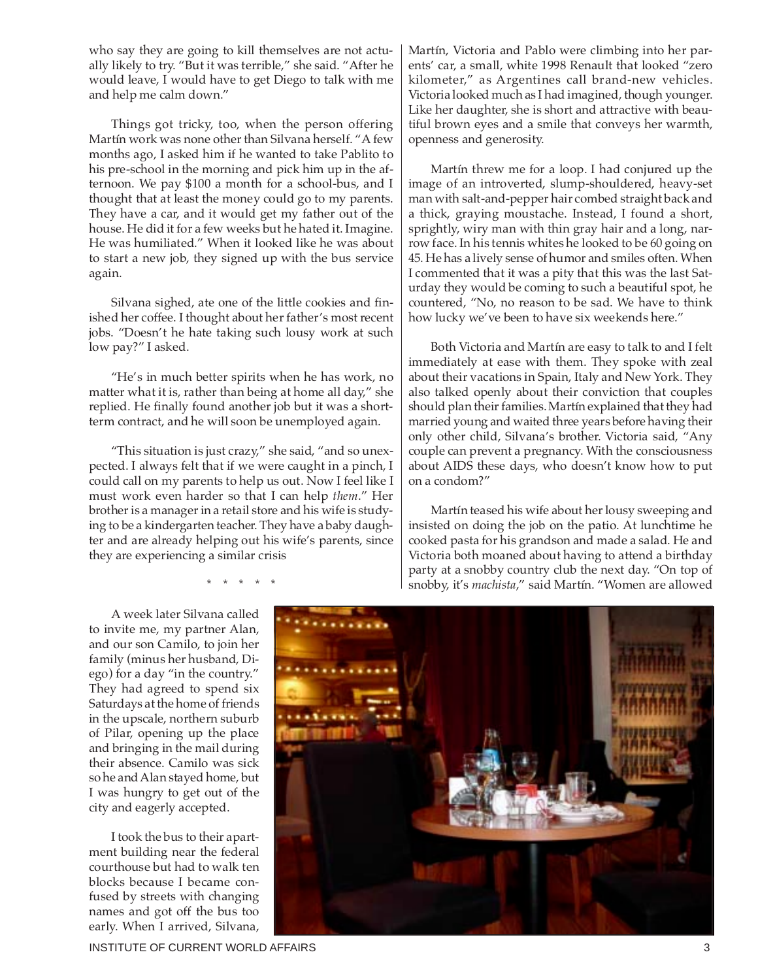who say they are going to kill themselves are not actually likely to try. "But it was terrible," she said. "After he would leave, I would have to get Diego to talk with me and help me calm down."

Things got tricky, too, when the person offering Martín work was none other than Silvana herself. "A few months ago, I asked him if he wanted to take Pablito to his pre-school in the morning and pick him up in the afternoon. We pay \$100 a month for a school-bus, and I thought that at least the money could go to my parents. They have a car, and it would get my father out of the house. He did it for a few weeks but he hated it. Imagine. He was humiliated." When it looked like he was about to start a new job, they signed up with the bus service again.

Silvana sighed, ate one of the little cookies and finished her coffee. I thought about her father's most recent jobs. "Doesn't he hate taking such lousy work at such low pay?" I asked.

"He's in much better spirits when he has work, no matter what it is, rather than being at home all day," she replied. He finally found another job but it was a shortterm contract, and he will soon be unemployed again.

"This situation is just crazy," she said, "and so unexpected. I always felt that if we were caught in a pinch, I could call on my parents to help us out. Now I feel like I must work even harder so that I can help *them*." Her brother is a manager in a retail store and his wife is studying to be a kindergarten teacher. They have a baby daughter and are already helping out his wife's parents, since they are experiencing a similar crisis

\* \* \* \* \*

Martín, Victoria and Pablo were climbing into her parents' car, a small, white 1998 Renault that looked "zero kilometer," as Argentines call brand-new vehicles. Victoria looked much as I had imagined, though younger. Like her daughter, she is short and attractive with beautiful brown eyes and a smile that conveys her warmth, openness and generosity.

Martín threw me for a loop. I had conjured up the image of an introverted, slump-shouldered, heavy-set man with salt-and-pepper hair combed straight back and a thick, graying moustache. Instead, I found a short, sprightly, wiry man with thin gray hair and a long, narrow face. In his tennis whites he looked to be 60 going on 45. He has a lively sense of humor and smiles often. When I commented that it was a pity that this was the last Saturday they would be coming to such a beautiful spot, he countered, "No, no reason to be sad. We have to think how lucky we've been to have six weekends here."

Both Victoria and Martín are easy to talk to and I felt immediately at ease with them. They spoke with zeal about their vacations in Spain, Italy and New York. They also talked openly about their conviction that couples should plan their families. Martín explained that they had married young and waited three years before having their only other child, Silvana's brother. Victoria said, "Any couple can prevent a pregnancy. With the consciousness about AIDS these days, who doesn't know how to put on a condom?"

Martín teased his wife about her lousy sweeping and insisted on doing the job on the patio. At lunchtime he cooked pasta for his grandson and made a salad. He and Victoria both moaned about having to attend a birthday party at a snobby country club the next day. "On top of snobby, it's *machista*," said Martín. "Women are allowed

A week later Silvana called to invite me, my partner Alan, and our son Camilo, to join her family (minus her husband, Diego) for a day "in the country." They had agreed to spend six Saturdays at the home of friends in the upscale, northern suburb of Pilar, opening up the place and bringing in the mail during their absence. Camilo was sick so he and Alan stayed home, but I was hungry to get out of the city and eagerly accepted.

I took the bus to their apartment building near the federal courthouse but had to walk ten blocks because I became confused by streets with changing names and got off the bus too early. When I arrived, Silvana,



INSTITUTE OF CURRENT WORLD AFFAIRS 3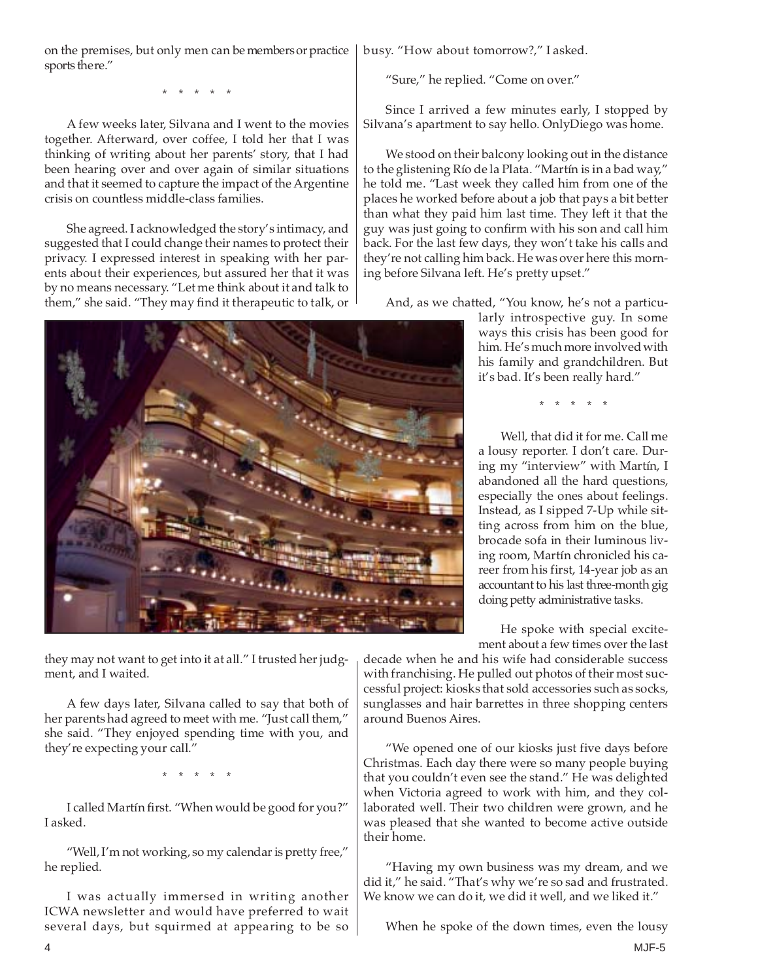I asked.

ment, and I waited.

they're expecting your call."

I was actually immersed in writing another ICWA newsletter and would have preferred to wait several days, but squirmed at appearing to be so

they may not want to get into it at all." I trusted her judg-

\* \* \* \* \*

I called Martín first. "When would be good for you?"

A few days later, Silvana called to say that both of her parents had agreed to meet with me. "Just call them," she said. "They enjoyed spending time with you, and

on the premises, but only men can be members or practice sports there."

\* \* \* \* \*

A few weeks later, Silvana and I went to the movies together. Afterward, over coffee, I told her that I was thinking of writing about her parents' story, that I had been hearing over and over again of similar situations and that it seemed to capture the impact of the Argentine crisis on countless middle-class families.

She agreed. I acknowledged the story's intimacy, and suggested that I could change their names to protect their privacy. I expressed interest in speaking with her parents about their experiences, but assured her that it was by no means necessary. "Let me think about it and talk to them," she said. "They may find it therapeutic to talk, or

busy. "How about tomorrow?," I asked.

"Sure," he replied. "Come on over."

Since I arrived a few minutes early, I stopped by Silvana's apartment to say hello. OnlyDiego was home.

We stood on their balcony looking out in the distance to the glistening Río de la Plata. "Martín is in a bad way," he told me. "Last week they called him from one of the places he worked before about a job that pays a bit better than what they paid him last time. They left it that the guy was just going to confirm with his son and call him back. For the last few days, they won't take his calls and they're not calling him back. He was over here this morning before Silvana left. He's pretty upset."

And, as we chatted, "You know, he's not a particu-

larly introspective guy. In some ways this crisis has been good for him. He's much more involved with his family and grandchildren. But it's bad. It's been really hard."

\* \* \* \* \*

Well, that did it for me. Call me a lousy reporter. I don't care. During my "interview" with Martín, I abandoned all the hard questions, especially the ones about feelings. Instead, as I sipped 7-Up while sitting across from him on the blue, brocade sofa in their luminous living room, Martín chronicled his career from his first, 14-year job as an accountant to his last three-month gig doing petty administrative tasks.

He spoke with special excitement about a few times over the last

decade when he and his wife had considerable success with franchising. He pulled out photos of their most successful project: kiosks that sold accessories such as socks, sunglasses and hair barrettes in three shopping centers around Buenos Aires.

"We opened one of our kiosks just five days before Christmas. Each day there were so many people buying that you couldn't even see the stand." He was delighted when Victoria agreed to work with him, and they collaborated well. Their two children were grown, and he was pleased that she wanted to become active outside their home.

"Having my own business was my dream, and we did it," he said. "That's why we're so sad and frustrated. We know we can do it, we did it well, and we liked it."

When he spoke of the down times, even the lousy

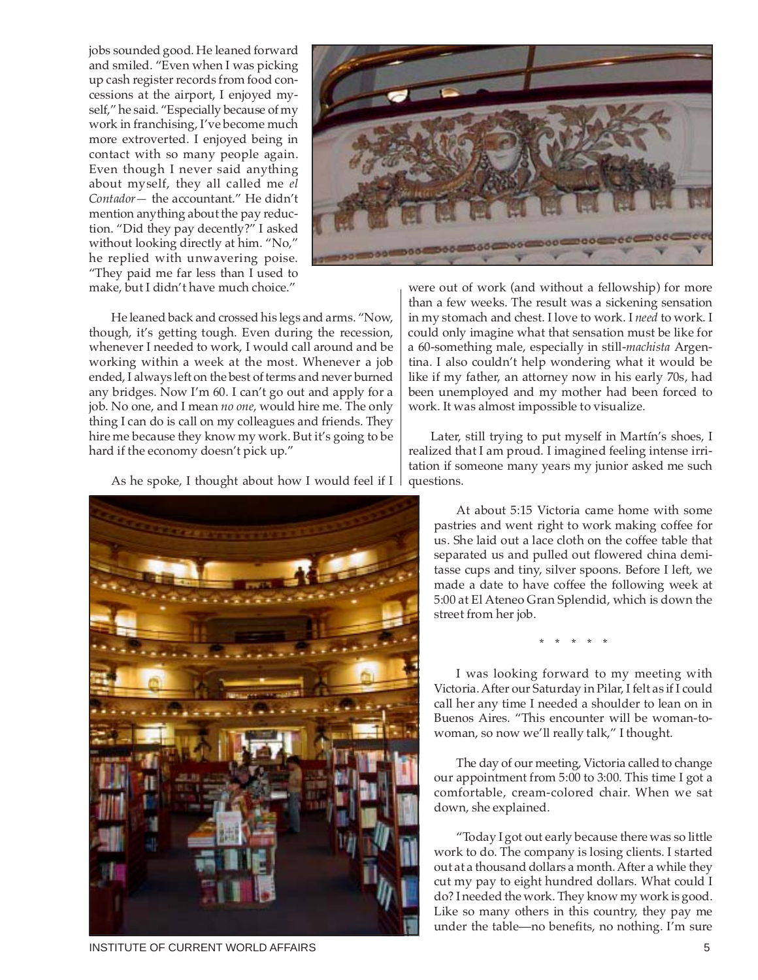jobs sounded good. He leaned forward and smiled. "Even when I was picking up cash register records from food concessions at the airport, I enjoyed myself," he said. "Especially because of my work in franchising, I've become much more extroverted. I enjoyed being in contact with so many people again. Even though I never said anything about myself, they all called me *el Contador—* the accountant." He didn't mention anything about the pay reduction. "Did they pay decently?" I asked without looking directly at him. "No," he replied with unwavering poise. "They paid me far less than I used to make, but I didn't have much choice."



He leaned back and crossed his legs and arms. "Now, though, it's getting tough. Even during the recession, whenever I needed to work, I would call around and be working within a week at the most. Whenever a job ended, I always left on the best of terms and never burned any bridges. Now I'm 60. I can't go out and apply for a job. No one, and I mean *no one*, would hire me. The only thing I can do is call on my colleagues and friends. They hire me because they know my work. But it's going to be hard if the economy doesn't pick up."

As he spoke, I thought about how I would feel if I



were out of work (and without a fellowship) for more than a few weeks. The result was a sickening sensation in my stomach and chest. I love to work. I *need* to work. I could only imagine what that sensation must be like for a 60-something male, especially in still-*machista* Argentina. I also couldn't help wondering what it would be like if my father, an attorney now in his early 70s, had been unemployed and my mother had been forced to work. It was almost impossible to visualize.

Later, still trying to put myself in Martín's shoes, I realized that I am proud. I imagined feeling intense irritation if someone many years my junior asked me such questions.

At about 5:15 Victoria came home with some pastries and went right to work making coffee for us. She laid out a lace cloth on the coffee table that separated us and pulled out flowered china demitasse cups and tiny, silver spoons. Before I left, we made a date to have coffee the following week at 5:00 at El Ateneo Gran Splendid, which is down the street from her job.

\* \* \* \* \*

I was looking forward to my meeting with Victoria. After our Saturday in Pilar, I felt as if I could call her any time I needed a shoulder to lean on in Buenos Aires. "This encounter will be woman-towoman, so now we'll really talk," I thought.

The day of our meeting, Victoria called to change our appointment from 5:00 to 3:00. This time I got a comfortable, cream-colored chair. When we sat down, she explained.

"Today I got out early because there was so little work to do. The company is losing clients. I started out at a thousand dollars a month. After a while they cut my pay to eight hundred dollars. What could I do? I needed the work. They know my work is good. Like so many others in this country, they pay me under the table—no benefits, no nothing. I'm sure

INSTITUTE OF CURRENT WORLD AFFAIRS **5**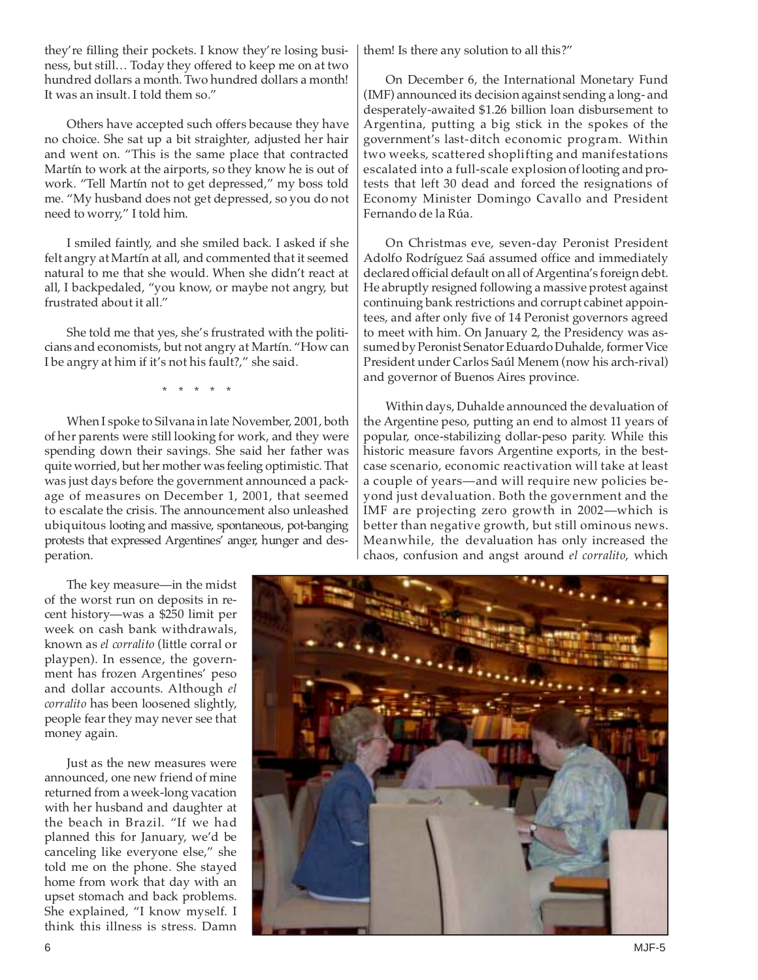they're filling their pockets. I know they're losing business, but still… Today they offered to keep me on at two hundred dollars a month. Two hundred dollars a month! It was an insult. I told them so."

Others have accepted such offers because they have no choice. She sat up a bit straighter, adjusted her hair and went on. "This is the same place that contracted Martín to work at the airports, so they know he is out of work. "Tell Martín not to get depressed," my boss told me. "My husband does not get depressed, so you do not need to worry," I told him.

I smiled faintly, and she smiled back. I asked if she felt angry at Martín at all, and commented that it seemed natural to me that she would. When she didn't react at all, I backpedaled, "you know, or maybe not angry, but frustrated about it all."

She told me that yes, she's frustrated with the politicians and economists, but not angry at Martín. "How can I be angry at him if it's not his fault?," she said.

\* \* \* \* \*

When I spoke to Silvana in late November, 2001, both of her parents were still looking for work, and they were spending down their savings. She said her father was quite worried, but her mother was feeling optimistic. That was just days before the government announced a package of measures on December 1, 2001, that seemed to escalate the crisis. The announcement also unleashed ubiquitous looting and massive, spontaneous, pot-banging protests that expressed Argentines' anger, hunger and desperation.

The key measure—in the midst of the worst run on deposits in recent history—was a \$250 limit per week on cash bank withdrawals, known as *el corralito* (little corral or playpen). In essence, the government has frozen Argentines' peso and dollar accounts. Although *el corralito* has been loosened slightly, people fear they may never see that money again.

Just as the new measures were announced, one new friend of mine returned from a week-long vacation with her husband and daughter at the beach in Brazil. "If we had planned this for January, we'd be canceling like everyone else," she told me on the phone. She stayed home from work that day with an upset stomach and back problems. She explained, "I know myself. I think this illness is stress. Damn them! Is there any solution to all this?"

On December 6, the International Monetary Fund (IMF) announced its decision against sending a long- and desperately-awaited \$1.26 billion loan disbursement to Argentina, putting a big stick in the spokes of the government's last-ditch economic program. Within two weeks, scattered shoplifting and manifestations escalated into a full-scale explosion of looting and protests that left 30 dead and forced the resignations of Economy Minister Domingo Cavallo and President Fernando de la Rúa.

On Christmas eve, seven-day Peronist President Adolfo Rodríguez Saá assumed office and immediately declared official default on all of Argentina's foreign debt. He abruptly resigned following a massive protest against continuing bank restrictions and corrupt cabinet appointees, and after only five of 14 Peronist governors agreed to meet with him. On January 2, the Presidency was assumed by Peronist Senator Eduardo Duhalde, former Vice President under Carlos Saúl Menem (now his arch-rival) and governor of Buenos Aires province.

Within days, Duhalde announced the devaluation of the Argentine peso, putting an end to almost 11 years of popular, once-stabilizing dollar-peso parity. While this historic measure favors Argentine exports, in the bestcase scenario, economic reactivation will take at least a couple of years—and will require new policies beyond just devaluation. Both the government and the IMF are projecting zero growth in 2002—which is better than negative growth, but still ominous news. Meanwhile, the devaluation has only increased the chaos, confusion and angst around *el corralito*, which

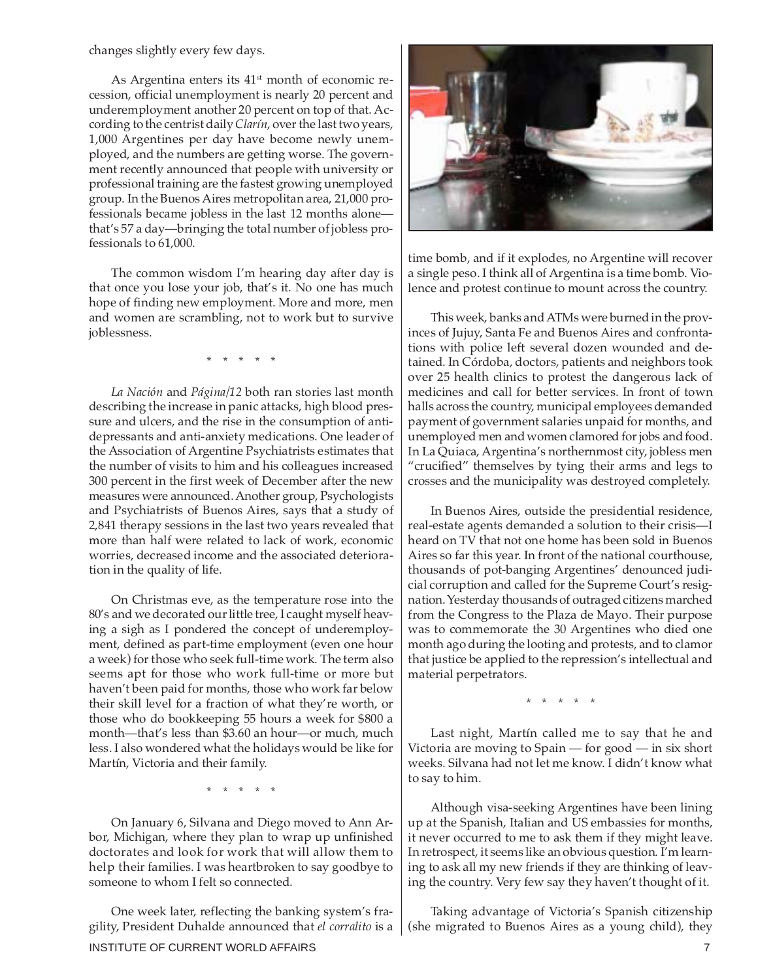changes slightly every few days.

As Argentina enters its 41<sup>st</sup> month of economic recession, official unemployment is nearly 20 percent and underemployment another 20 percent on top of that. According to the centrist daily *Clarín*, over the last two years, 1,000 Argentines per day have become newly unemployed, and the numbers are getting worse. The government recently announced that people with university or professional training are the fastest growing unemployed group. In the Buenos Aires metropolitan area, 21,000 professionals became jobless in the last 12 months alone that's 57 a day—bringing the total number of jobless professionals to 61,000.

The common wisdom I'm hearing day after day is that once you lose your job, that's it. No one has much hope of finding new employment. More and more, men and women are scrambling, not to work but to survive joblessness.

\* \* \* \* \*

*La Nación* and *Página/12* both ran stories last month describing the increase in panic attacks, high blood pressure and ulcers, and the rise in the consumption of antidepressants and anti-anxiety medications. One leader of the Association of Argentine Psychiatrists estimates that the number of visits to him and his colleagues increased 300 percent in the first week of December after the new measures were announced. Another group, Psychologists and Psychiatrists of Buenos Aires, says that a study of 2,841 therapy sessions in the last two years revealed that more than half were related to lack of work, economic worries, decreased income and the associated deterioration in the quality of life.

On Christmas eve, as the temperature rose into the 80's and we decorated our little tree, I caught myself heaving a sigh as I pondered the concept of underemployment, defined as part-time employment (even one hour a week) for those who seek full-time work. The term also seems apt for those who work full-time or more but haven't been paid for months, those who work far below their skill level for a fraction of what they're worth, or those who do bookkeeping 55 hours a week for \$800 a month—that's less than \$3.60 an hour—or much, much less. I also wondered what the holidays would be like for Martín, Victoria and their family.

\* \* \* \* \*

On January 6, Silvana and Diego moved to Ann Arbor, Michigan, where they plan to wrap up unfinished doctorates and look for work that will allow them to help their families. I was heartbroken to say goodbye to someone to whom I felt so connected.

INSTITUTE OF CURRENT WORLD AFFAIRS **7** And the state of the state of the state of the state of the state of the state of the state of the state of the state of the state of the state of the state of the state of the state One week later, reflecting the banking system's fragility, President Duhalde announced that *el corralito* is a



time bomb, and if it explodes, no Argentine will recover a single peso. I think all of Argentina is a time bomb. Violence and protest continue to mount across the country.

This week, banks and ATMs were burned in the provinces of Jujuy, Santa Fe and Buenos Aires and confrontations with police left several dozen wounded and detained. In Córdoba, doctors, patients and neighbors took over 25 health clinics to protest the dangerous lack of medicines and call for better services. In front of town halls across the country, municipal employees demanded payment of government salaries unpaid for months, and unemployed men and women clamored for jobs and food. In La Quiaca, Argentina's northernmost city, jobless men "crucified" themselves by tying their arms and legs to crosses and the municipality was destroyed completely.

In Buenos Aires, outside the presidential residence, real-estate agents demanded a solution to their crisis—I heard on TV that not one home has been sold in Buenos Aires so far this year. In front of the national courthouse, thousands of pot-banging Argentines' denounced judicial corruption and called for the Supreme Court's resignation. Yesterday thousands of outraged citizens marched from the Congress to the Plaza de Mayo. Their purpose was to commemorate the 30 Argentines who died one month ago during the looting and protests, and to clamor that justice be applied to the repression's intellectual and material perpetrators.

\* \* \* \* \*

Last night, Martín called me to say that he and Victoria are moving to Spain — for good — in six short weeks. Silvana had not let me know. I didn't know what to say to him.

Although visa-seeking Argentines have been lining up at the Spanish, Italian and US embassies for months, it never occurred to me to ask them if they might leave. In retrospect, it seems like an obvious question. I'm learning to ask all my new friends if they are thinking of leaving the country. Very few say they haven't thought of it.

Taking advantage of Victoria's Spanish citizenship (she migrated to Buenos Aires as a young child), they